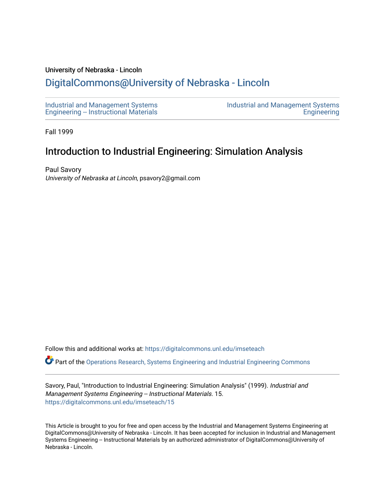#### University of Nebraska - Lincoln

## [DigitalCommons@University of Nebraska - Lincoln](https://digitalcommons.unl.edu/)

[Industrial and Management Systems](https://digitalcommons.unl.edu/imseteach)  [Engineering -- Instructional Materials](https://digitalcommons.unl.edu/imseteach)  [Industrial and Management Systems](https://digitalcommons.unl.edu/imse)  **Engineering** 

Fall 1999

# Introduction to Industrial Engineering: Simulation Analysis

Paul Savory University of Nebraska at Lincoln, psavory2@gmail.com

Follow this and additional works at: [https://digitalcommons.unl.edu/imseteach](https://digitalcommons.unl.edu/imseteach?utm_source=digitalcommons.unl.edu%2Fimseteach%2F15&utm_medium=PDF&utm_campaign=PDFCoverPages) 

Part of the [Operations Research, Systems Engineering and Industrial Engineering Commons](http://network.bepress.com/hgg/discipline/305?utm_source=digitalcommons.unl.edu%2Fimseteach%2F15&utm_medium=PDF&utm_campaign=PDFCoverPages)

Savory, Paul, "Introduction to Industrial Engineering: Simulation Analysis" (1999). Industrial and Management Systems Engineering -- Instructional Materials. 15. [https://digitalcommons.unl.edu/imseteach/15](https://digitalcommons.unl.edu/imseteach/15?utm_source=digitalcommons.unl.edu%2Fimseteach%2F15&utm_medium=PDF&utm_campaign=PDFCoverPages)

This Article is brought to you for free and open access by the Industrial and Management Systems Engineering at DigitalCommons@University of Nebraska - Lincoln. It has been accepted for inclusion in Industrial and Management Systems Engineering -- Instructional Materials by an authorized administrator of DigitalCommons@University of Nebraska - Lincoln.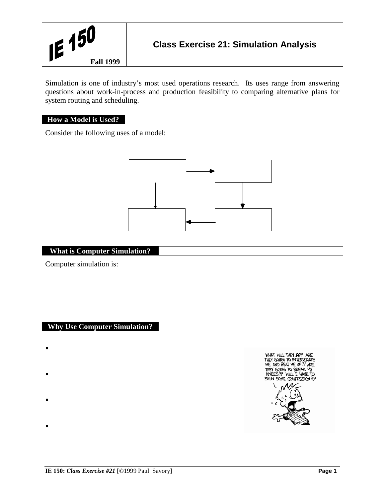

Simulation is one of industry's most used operations research. Its uses range from answering questions about work-in-process and production feasibility to comparing alternative plans for system routing and scheduling.

## **How a Model is Used?**

Consider the following uses of a model:



## **What is Computer Simulation?**

Computer simulation is:

#### **Why Use Computer Simulation?**

- $\blacksquare$
- .
- .
- .

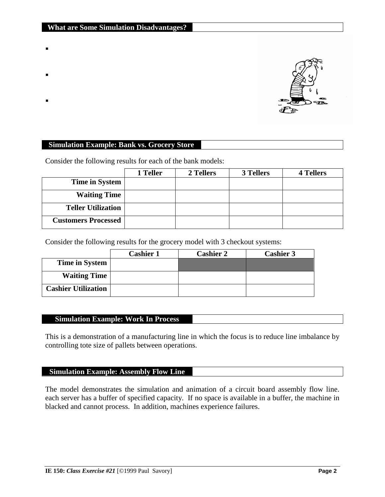- .
- 
- .
- .

## **Simulation Example: Bank vs. Grocery Store**

Consider the following results for each of the bank models:

|                            | 1 Teller | 2 Tellers | 3 Tellers | <b>4 Tellers</b> |
|----------------------------|----------|-----------|-----------|------------------|
| <b>Time in System</b>      |          |           |           |                  |
| <b>Waiting Time</b>        |          |           |           |                  |
| <b>Teller Utilization</b>  |          |           |           |                  |
| <b>Customers Processed</b> |          |           |           |                  |

Consider the following results for the grocery model with 3 checkout systems:

|                            | <b>Cashier 1</b> | <b>Cashier 2</b> | <b>Cashier 3</b> |
|----------------------------|------------------|------------------|------------------|
| <b>Time in System</b>      |                  |                  |                  |
| <b>Waiting Time</b>        |                  |                  |                  |
| <b>Cashier Utilization</b> |                  |                  |                  |

## **Simulation Example: Work In Process**

This is a demonstration of a manufacturing line in which the focus is to reduce line imbalance by controlling tote size of pallets between operations.

### **Simulation Example: Assembly Flow Line**

The model demonstrates the simulation and animation of a circuit board assembly flow line. each server has a buffer of specified capacity. If no space is available in a buffer, the machine in blacked and cannot process. In addition, machines experience failures.

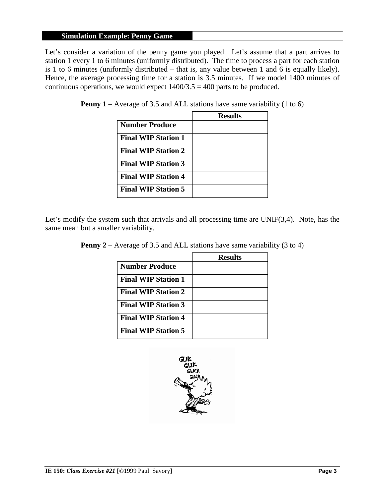## **Simulation Example: Penny Game**

Let's consider a variation of the penny game you played. Let's assume that a part arrives to station 1 every 1 to 6 minutes (uniformly distributed). The time to process a part for each station is 1 to 6 minutes (uniformly distributed – that is, any value between 1 and 6 is equally likely). Hence, the average processing time for a station is 3.5 minutes. If we model 1400 minutes of continuous operations, we would expect  $1400/3.5 = 400$  parts to be produced.

| <b>Penny 1</b> – Average of 3.5 and ALL stations have same variability $(1 \text{ to } 6)$ |  |
|--------------------------------------------------------------------------------------------|--|
|--------------------------------------------------------------------------------------------|--|

|                            | <b>Results</b> |
|----------------------------|----------------|
| <b>Number Produce</b>      |                |
| <b>Final WIP Station 1</b> |                |
| <b>Final WIP Station 2</b> |                |
| <b>Final WIP Station 3</b> |                |
| <b>Final WIP Station 4</b> |                |
| <b>Final WIP Station 5</b> |                |

Let's modify the system such that arrivals and all processing time are UNIF(3,4). Note, has the same mean but a smaller variability.

|  |  | <b>Penny 2</b> – Average of 3.5 and ALL stations have same variability $(3 \text{ to } 4)$ |  |  |  |
|--|--|--------------------------------------------------------------------------------------------|--|--|--|
|--|--|--------------------------------------------------------------------------------------------|--|--|--|

|                            | <b>Results</b> |
|----------------------------|----------------|
| Number Produce             |                |
| <b>Final WIP Station 1</b> |                |
| <b>Final WIP Station 2</b> |                |
| <b>Final WIP Station 3</b> |                |
| <b>Final WIP Station 4</b> |                |
| <b>Final WIP Station 5</b> |                |